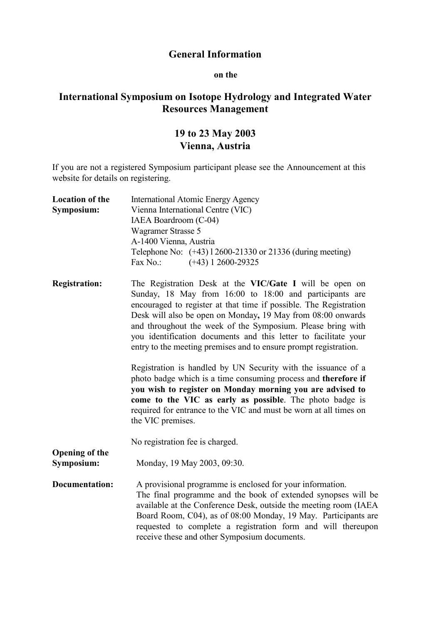## **General Information**

## **on the**

## **International Symposium on Isotope Hydrology and Integrated Water Resources Management**

## **19 to 23 May 2003 Vienna, Austria**

If you are not a registered Symposium participant please see the Announcement at this website for details on registering.

| <b>Location of the</b><br>Symposium: | International Atomic Energy Agency<br>Vienna International Centre (VIC)                                                                                                                                                                                                                                                                                                                                                                                      |
|--------------------------------------|--------------------------------------------------------------------------------------------------------------------------------------------------------------------------------------------------------------------------------------------------------------------------------------------------------------------------------------------------------------------------------------------------------------------------------------------------------------|
|                                      | IAEA Boardroom (C-04)                                                                                                                                                                                                                                                                                                                                                                                                                                        |
|                                      | Wagramer Strasse 5                                                                                                                                                                                                                                                                                                                                                                                                                                           |
|                                      | A-1400 Vienna, Austria                                                                                                                                                                                                                                                                                                                                                                                                                                       |
|                                      | Telephone No: (+43) 1 2600-21330 or 21336 (during meeting)                                                                                                                                                                                                                                                                                                                                                                                                   |
|                                      | Fax No.:<br>$(+43)$ 1 2600-29325                                                                                                                                                                                                                                                                                                                                                                                                                             |
| <b>Registration:</b>                 | The Registration Desk at the VIC/Gate I will be open on<br>Sunday, 18 May from 16:00 to 18:00 and participants are<br>encouraged to register at that time if possible. The Registration<br>Desk will also be open on Monday, 19 May from 08:00 onwards<br>and throughout the week of the Symposium. Please bring with<br>you identification documents and this letter to facilitate your<br>entry to the meeting premises and to ensure prompt registration. |
|                                      | Registration is handled by UN Security with the issuance of a<br>photo badge which is a time consuming process and therefore if<br>you wish to register on Monday morning you are advised to<br>come to the VIC as early as possible. The photo badge is<br>required for entrance to the VIC and must be worn at all times on<br>the VIC premises.                                                                                                           |
|                                      | No registration fee is charged.                                                                                                                                                                                                                                                                                                                                                                                                                              |
| <b>Opening of the</b><br>Symposium:  | Monday, 19 May 2003, 09:30.                                                                                                                                                                                                                                                                                                                                                                                                                                  |
| <b>Documentation:</b>                | A provisional programme is enclosed for your information.<br>The final programme and the book of extended synopses will be<br>available at the Conference Desk, outside the meeting room (IAEA<br>Board Room, C04), as of 08:00 Monday, 19 May. Participants are<br>requested to complete a registration form and will thereupon<br>receive these and other Symposium documents.                                                                             |